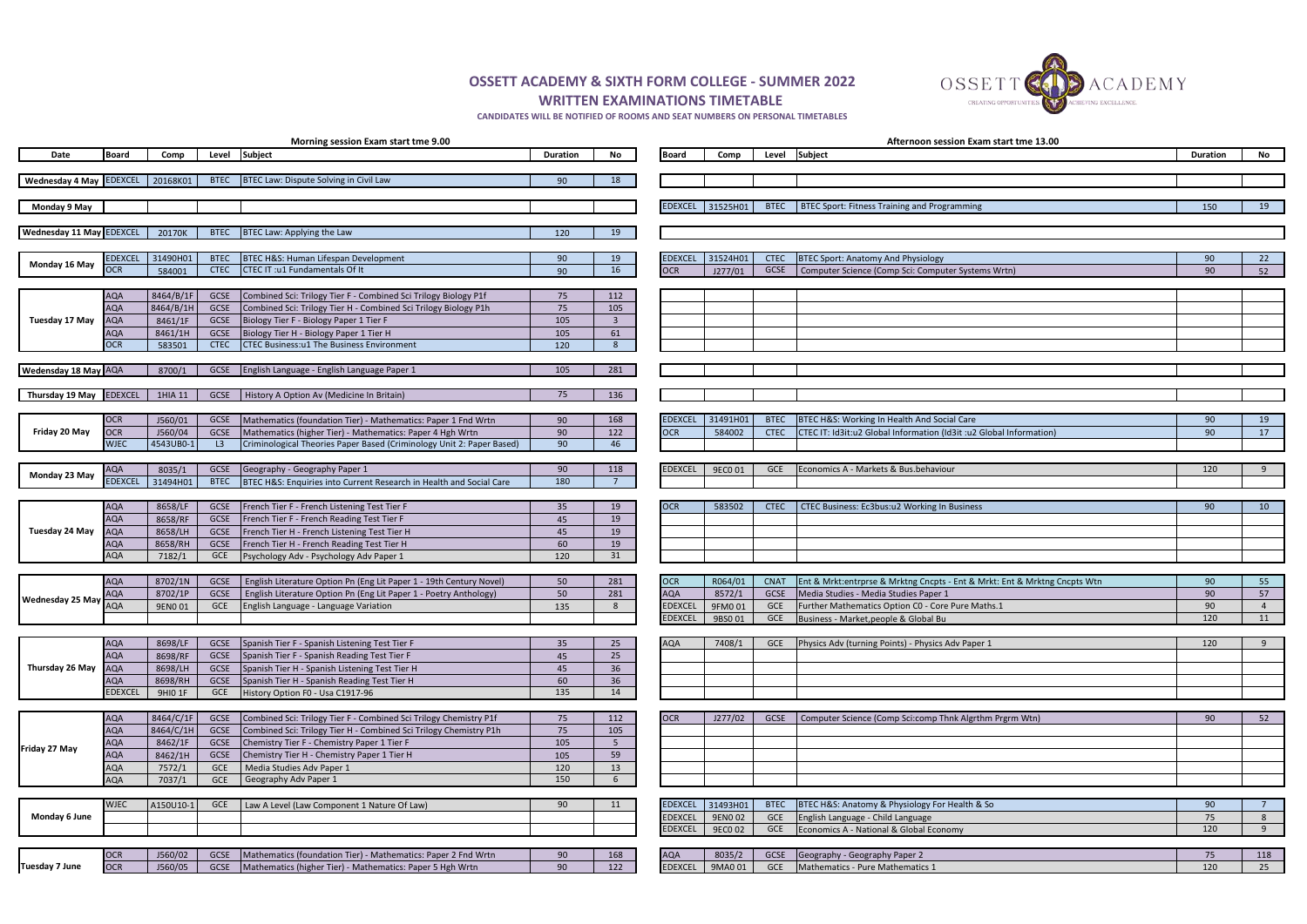|                                 |                   |                    |                     | Morning session Exam start tme 9.00                                                            |                 |                         |                |                  |             | Afternoon session Exam start tme 13.00                                            |          |                |
|---------------------------------|-------------------|--------------------|---------------------|------------------------------------------------------------------------------------------------|-----------------|-------------------------|----------------|------------------|-------------|-----------------------------------------------------------------------------------|----------|----------------|
| Date                            | Board             | Comp               | Level               | <b>Subject</b>                                                                                 | <b>Duration</b> | No                      | Board          | Comp             | Level       | Subject                                                                           | Duration | No             |
| Wednesday 4 May EDEXCEL         |                   | 20168K01           |                     | BTEC Law: Dispute Solving in Civil Law                                                         |                 |                         |                |                  |             |                                                                                   |          |                |
|                                 |                   |                    | <b>BTEC</b>         |                                                                                                | 90              | 18                      |                |                  |             |                                                                                   |          |                |
| Monday 9 May                    |                   |                    |                     |                                                                                                |                 |                         |                | EDEXCEL 31525H01 | <b>BTEC</b> | BTEC Sport: Fitness Training and Programming                                      | 150      | <b>19</b>      |
|                                 |                   |                    |                     |                                                                                                |                 |                         |                |                  |             |                                                                                   |          |                |
| <b>Wednesday 11 May EDEXCEL</b> |                   | 20170K             | <b>BTEC</b>         | BTEC Law: Applying the Law                                                                     | 120             | 19                      |                |                  |             |                                                                                   |          |                |
|                                 |                   |                    |                     |                                                                                                |                 |                         |                |                  |             |                                                                                   |          |                |
| Monday 16 May                   | <b>EDEXCEL</b>    | 31490H01           | <b>BTEC</b>         | BTEC H&S: Human Lifespan Development                                                           | 90              | 19                      | <b>EDEXCEL</b> | 31524H01         | <b>CTEC</b> | <b>BTEC Sport: Anatomy And Physiology</b>                                         | 90       | 22             |
|                                 | <b>OCR</b>        | 584001             | <b>CTEC</b>         | CTEC IT: u1 Fundamentals Of It                                                                 | 90              | 16                      | <b>OCR</b>     | J277/01          | GCSE        | Computer Science (Comp Sci: Computer Systems Wrtn)                                | 90       | 52             |
|                                 | <b>AQA</b>        | 8464/B/1F          | GCSE                | Combined Sci: Trilogy Tier F - Combined Sci Trilogy Biology P1f                                | 75              | 112                     |                |                  |             |                                                                                   |          |                |
|                                 | <b>AQA</b>        | $8464/B/1H$        | GCSE                | Combined Sci: Trilogy Tier H - Combined Sci Trilogy Biology P1h                                | 75              | 105                     |                |                  |             |                                                                                   |          |                |
| Tuesday 17 May                  | <b>AQA</b>        | 8461/1F            | GCSE                | Biology Tier F - Biology Paper 1 Tier F                                                        | 105             | $\overline{\mathbf{3}}$ |                |                  |             |                                                                                   |          |                |
|                                 | AQA               | 8461/1H            | GCSE                | Biology Tier H - Biology Paper 1 Tier H                                                        | 105             | 61                      |                |                  |             |                                                                                   |          |                |
|                                 | OCR.              | 583501             | <b>CTEC</b>         | <b>CTEC Business:u1 The Business Environment</b>                                               | 120             | -8                      |                |                  |             |                                                                                   |          |                |
|                                 |                   |                    |                     |                                                                                                |                 |                         |                |                  |             |                                                                                   |          |                |
| Wedensday 18 May AQA            |                   | 8700/1             | GCSE                | English Language - English Language Paper 1                                                    | 105             | 281                     |                |                  |             |                                                                                   |          |                |
| Thursday 19 May EDEXCEL         |                   |                    |                     | History A Option Av (Medicine In Britain)                                                      | 75              |                         |                |                  |             |                                                                                   |          |                |
|                                 |                   | 1HIA 11            | GCSE                |                                                                                                |                 | 136                     |                |                  |             |                                                                                   |          |                |
|                                 | <b>OCR</b>        | J560/01            | GCSE                | Mathematics (foundation Tier) - Mathematics: Paper 1 Fnd Wrtn                                  | 90              | 168                     | <b>EDEXCEL</b> | 31491H01         | <b>BTEC</b> | BTEC H&S: Working In Health And Social Care                                       | 90       | 19             |
| Friday 20 May                   | <b>OCR</b>        | J560/04            | GCSE                | Mathematics (higher Tier) - Mathematics: Paper 4 Hgh Wrtn                                      | 90              | 122                     | <b>OCR</b>     | 584002           | <b>CTEC</b> | CTEC IT: Id3it:u2 Global Information (Id3it :u2 Global Information)               | 90       | 17             |
|                                 | <b>WJEC</b>       | 4543UB0-1          | L3                  | Criminological Theories Paper Based (Criminology Unit 2: Paper Based)                          | 90              | 46                      |                |                  |             |                                                                                   |          |                |
|                                 |                   |                    |                     |                                                                                                |                 |                         |                |                  |             |                                                                                   |          |                |
| Monday 23 May                   | AQA               | 8035/1             | GCSE                | Geography - Geography Paper 1                                                                  | 90              | 118                     | <b>EDEXCEL</b> | 9EC0 01          | <b>GCE</b>  | Economics A - Markets & Bus.behaviour                                             | 120      | - 9            |
|                                 | <b>EDEXCEL</b>    | 31494H01           | <b>BTEC</b>         | BTEC H&S: Enquiries into Current Research in Health and Social Care                            | 180             |                         |                |                  |             |                                                                                   |          |                |
|                                 |                   |                    |                     |                                                                                                |                 |                         |                |                  |             |                                                                                   |          |                |
|                                 | AQA               | 8658/LF            | GCSE                | French Tier F - French Listening Test Tier F                                                   | 35              | 19                      | <b>OCR</b>     | 583502           | <b>CTEC</b> | CTEC Business: Ec3bus:u2 Working In Business                                      | 90       | 10             |
|                                 | <b>AQA</b>        | 8658/RF            | GCSE                | French Tier F - French Reading Test Tier F                                                     | 45              | 19                      |                |                  |             |                                                                                   |          |                |
| Tuesday 24 May                  | AQA<br><b>AQA</b> | 8658/LH<br>8658/RH | GCSE<br><b>GCSE</b> | French Tier H - French Listening Test Tier H<br>French Tier H - French Reading Test Tier H     | 45<br>60        | 19<br>19                |                |                  |             |                                                                                   |          |                |
|                                 | AQA               | 7182/1             | <b>GCE</b>          | Psychology Adv - Psychology Adv Paper 1                                                        | 120             | 31                      |                |                  |             |                                                                                   |          |                |
|                                 |                   |                    |                     |                                                                                                |                 |                         |                |                  |             |                                                                                   |          |                |
|                                 | AQA               | 8702/1N            | GCSE                | English Literature Option Pn (Eng Lit Paper 1 - 19th Century Novel)                            | 50              | 281                     | <b>OCR</b>     | R064/01          |             | CNAT   Ent & Mrkt: entrprse & Mrktng Cncpts - Ent & Mrkt: Ent & Mrktng Cncpts Wtn | 90       | - 55           |
| <b>Wednesday 25 May</b>         | AQA               | 8702/1P            | GCSE                | English Literature Option Pn (Eng Lit Paper 1 - Poetry Anthology)                              | 50              | 281                     | AQA            | 8572/1           | GCSE        | Media Studies - Media Studies Paper 1                                             | 90       | 57             |
|                                 | <b>AQA</b>        | 9EN0 01            | GCE                 | English Language - Language Variation                                                          | 135             | -8                      | <b>EDEXCEL</b> | 9FM001           | <b>GCE</b>  | Further Mathematics Option CO - Core Pure Maths.1                                 | 90       | $\overline{4}$ |
|                                 |                   |                    |                     |                                                                                                |                 |                         | <b>EDEXCEL</b> | 9BS001           | <b>GCE</b>  | Business - Market, people & Global Bu                                             | 120      | 11             |
|                                 |                   |                    |                     |                                                                                                |                 |                         |                |                  |             |                                                                                   |          |                |
|                                 | <b>AQA</b>        | 8698/LF            | GCSE                | Spanish Tier F - Spanish Listening Test Tier F                                                 | 35              | 25                      | AQA            | 7408/1           | <b>GCE</b>  | Physics Adv (turning Points) - Physics Adv Paper 1                                | 120      |                |
| Thursday 26 May                 | AQA<br><b>AQA</b> | 8698/RF<br>8698/LH | GCSE<br>GCSE        | Spanish Tier F - Spanish Reading Test Tier F<br>Spanish Tier H - Spanish Listening Test Tier H | 45<br>45        | 25<br>36                |                |                  |             |                                                                                   |          |                |
|                                 | AQA               | 8698/RH            | GCSE                | Spanish Tier H - Spanish Reading Test Tier H                                                   | 60              | 36                      |                |                  |             |                                                                                   |          |                |
|                                 | <b>EDEXCEL</b>    | 9HI0 1F            | GCE                 | History Option F0 - Usa C1917-96                                                               | 135             | 14                      |                |                  |             |                                                                                   |          |                |
|                                 |                   |                    |                     |                                                                                                |                 |                         |                |                  |             |                                                                                   |          |                |
|                                 | <b>AQA</b>        | 8464/C/1F          | GCSE                | Combined Sci: Trilogy Tier F - Combined Sci Trilogy Chemistry P1f                              | 75              | 112                     | <b>OCR</b>     | J277/02          | <b>GCSE</b> | Computer Science (Comp Sci:comp Thnk Algrthm Prgrm Wtn)                           | 90       | 52             |
|                                 | <b>AQA</b>        | 8464/C/1H          | GCSE                | Combined Sci: Trilogy Tier H - Combined Sci Trilogy Chemistry P1h                              | 75              | 105                     |                |                  |             |                                                                                   |          |                |
| Friday 27 May                   | <b>AQA</b>        | 8462/1F            | GCSE                | Chemistry Tier F - Chemistry Paper 1 Tier F                                                    | 105             | 5                       |                |                  |             |                                                                                   |          |                |
|                                 | AQA               | 8462/1H            | GCSE                | Chemistry Tier H - Chemistry Paper 1 Tier H                                                    | 105             | 59                      |                |                  |             |                                                                                   |          |                |
|                                 | <b>AQA</b>        | 7572/1             | <b>GCE</b>          | Media Studies Adv Paper 1                                                                      | 120             | 13                      |                |                  |             |                                                                                   |          |                |
|                                 | AQA               | 7037/1             | <b>GCE</b>          | Geography Adv Paper 1                                                                          | 150             | 6                       |                |                  |             |                                                                                   |          |                |
|                                 | <b>WJEC</b>       | A150U10-1          | <b>GCE</b>          | Law A Level (Law Component 1 Nature Of Law)                                                    | 90              | 11                      | <b>EDEXCEL</b> | 31493H01         | <b>BTEC</b> | BTEC H&S: Anatomy & Physiology For Health & So                                    | 90       | $\overline{7}$ |
| Monday 6 June                   |                   |                    |                     |                                                                                                |                 |                         | <b>EDEXCEL</b> | 9EN002           | GCE         | English Language - Child Language                                                 | 75       | 8              |
|                                 |                   |                    |                     |                                                                                                |                 |                         | <b>EDEXCEL</b> | 9EC0 02          | GCE         | Economics A - National & Global Economy                                           | 120      | 9              |
|                                 |                   |                    |                     |                                                                                                |                 |                         |                |                  |             |                                                                                   |          |                |
|                                 | <b>OCR</b>        | J560/02            | GCSE                | Mathematics (foundation Tier) - Mathematics: Paper 2 Fnd Wrtn                                  | 90              | 168                     | <b>AQA</b>     | 8035/2           | GCSE        | Geography - Geography Paper 2                                                     | 75       | 118            |
| Tuesday 7 June                  | <b>OCR</b>        | J560/05            | GCSE                | Mathematics (higher Tier) - Mathematics: Paper 5 Hgh Wrtn                                      | 90              | 122                     | EDEXCEL        | 9MA0 01          | <b>GCE</b>  | Mathematics - Pure Mathematics 1                                                  | 120      | 25             |
|                                 |                   |                    |                     |                                                                                                |                 |                         |                |                  |             |                                                                                   |          |                |



| n start tme 13.00            |                 |                               |
|------------------------------|-----------------|-------------------------------|
|                              | <b>Duration</b> | <b>No</b>                     |
|                              |                 |                               |
|                              |                 |                               |
|                              | 150             | $19$                          |
|                              |                 |                               |
|                              |                 |                               |
|                              |                 |                               |
|                              | 90              | $\overline{22}$               |
| s Wrtn)                      | 90              | 52                            |
|                              |                 |                               |
|                              |                 |                               |
|                              |                 |                               |
|                              |                 |                               |
|                              |                 |                               |
|                              |                 |                               |
|                              |                 |                               |
|                              |                 |                               |
|                              |                 |                               |
|                              | 90              | 19                            |
| obal Information)            | 90              | 17                            |
|                              |                 |                               |
|                              |                 |                               |
|                              | 120             | $\boldsymbol{9}$              |
|                              |                 |                               |
|                              |                 |                               |
|                              | 90              | $10\,$                        |
|                              |                 |                               |
|                              |                 |                               |
|                              |                 |                               |
|                              |                 |                               |
| rkt: Ent & Mrktng Cncpts Wtn | 90              | $\overline{55}$               |
|                              | 90              | 57                            |
| hs.1                         | 90<br>120       | $\overline{\mathbf{r}}$<br>11 |
|                              |                 |                               |
| $\overline{\mathbf{1}}$      | 120             | $\overline{9}$                |
|                              |                 |                               |
|                              |                 |                               |
|                              |                 |                               |
|                              |                 |                               |
|                              |                 |                               |
| m Prgrm Wtn)                 | 90              | $\overline{52}$               |
|                              |                 |                               |
|                              |                 |                               |
|                              |                 |                               |
|                              |                 |                               |
|                              |                 |                               |
| $\frac{1}{2}$                | 90              | $\overline{\phantom{a}}$      |
|                              | $75\,$<br>120   | $\bf 8$<br>$\overline{9}$     |
|                              |                 |                               |
|                              | 75              | 118                           |
|                              | 120             | 25                            |
|                              |                 |                               |

**OSSETT ACADEMY & SIXTH FORM COLLEGE - SUMMER 2022**

## **WRITTEN EXAMINATIONS TIMETABLE**

**CANDIDATES WILL BE NOTIFIED OF ROOMS AND SEAT NUMBERS ON PERSONAL TIMETABLES**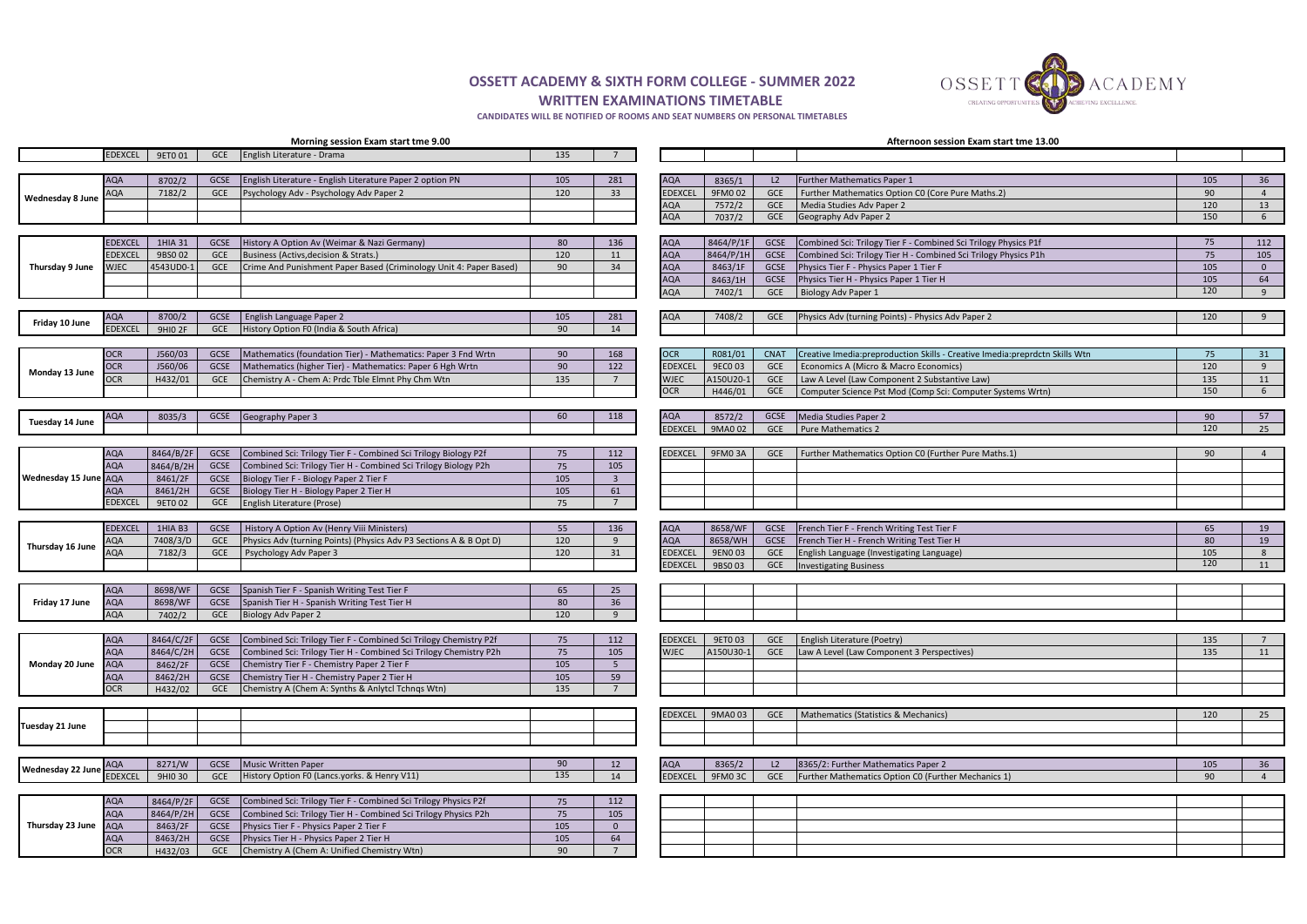**OSSETT ACADEMY & SIXTH FORM COLLEGE - SUMMER 2022 WRITTEN EXAMINATIONS TIMETABLE** 

**CANDIDATES WILL BE NOTIFIED OF ROOMS AND SEAT NUMBERS ON PERSONAL TIMETABLES**

|                         | Morning session Exam start tme 9.00 |                    |                     |                                                                                                                            |            |                      | Afternoon session Exam start tme 13.00 |                    |                    |                                                                                                                        |           |                      |  |  |
|-------------------------|-------------------------------------|--------------------|---------------------|----------------------------------------------------------------------------------------------------------------------------|------------|----------------------|----------------------------------------|--------------------|--------------------|------------------------------------------------------------------------------------------------------------------------|-----------|----------------------|--|--|
|                         | <b>EDEXCEL</b>                      | 9ET0 01            | <b>GCE</b>          | English Literature - Drama                                                                                                 | 135        |                      |                                        |                    |                    |                                                                                                                        |           |                      |  |  |
|                         |                                     |                    |                     |                                                                                                                            |            |                      |                                        |                    |                    |                                                                                                                        |           |                      |  |  |
|                         | <b>AQA</b>                          | 8702/2             | GCSE                | English Literature - English Literature Paper 2 option PN                                                                  | 105        | 281                  | <b>AQA</b>                             | 8365/1<br>9FM002   | L2                 | Further Mathematics Paper 1                                                                                            | 105       | 36                   |  |  |
| <b>Wednesday 8 June</b> | AQA                                 | 7182/2             | GCE                 | Psychology Adv - Psychology Adv Paper 2                                                                                    | 120        | 33                   | <b>EDEXCEL</b><br>AQA                  | 7572/2             | GCE<br>GCE         | Further Mathematics Option CO (Core Pure Maths.2)<br>Media Studies Adv Paper 2                                         | 90<br>120 | $\overline{4}$<br>13 |  |  |
|                         |                                     |                    |                     |                                                                                                                            |            |                      | <b>AQA</b>                             | 7037/2             | GCE                | Geography Adv Paper 2                                                                                                  | 150       | 6                    |  |  |
|                         |                                     |                    |                     |                                                                                                                            |            |                      |                                        |                    |                    |                                                                                                                        |           |                      |  |  |
|                         | <b>EDEXCEL</b>                      | 1HIA 31            | <b>GCSE</b>         | History A Option Av (Weimar & Nazi Germany)                                                                                | 80         | 136                  | <b>AQA</b>                             | 8464/P/1F          | <b>GCSE</b>        | Combined Sci: Trilogy Tier F - Combined Sci Trilogy Physics P1f                                                        | 75        | 112                  |  |  |
|                         | <b>EDEXCEL</b>                      | 9BS0 02            | GCE                 | Business (Activs, decision & Strats.)                                                                                      | 120        | 11                   | <b>AQA</b>                             | 8464/P/1H          | GCSE               | Combined Sci: Trilogy Tier H - Combined Sci Trilogy Physics P1h                                                        | 75        | 105                  |  |  |
| Thursday 9 June         | WJEC                                | 4543UD0-1          | <b>GCE</b>          | Crime And Punishment Paper Based (Criminology Unit 4: Paper Based)                                                         | 90         | 34                   | <b>AQA</b>                             | 8463/1F            | GCSE               | Physics Tier F - Physics Paper 1 Tier F                                                                                | 105       | $\overline{0}$       |  |  |
|                         |                                     |                    |                     |                                                                                                                            |            |                      | <b>AQA</b>                             | 8463/1H            | GCSE               | Physics Tier H - Physics Paper 1 Tier H                                                                                | 105       | 64                   |  |  |
|                         |                                     |                    |                     |                                                                                                                            |            |                      | <b>AQA</b>                             | 7402/1             | <b>GCE</b>         | Biology Adv Paper 1                                                                                                    | 120       | 9                    |  |  |
|                         |                                     |                    |                     |                                                                                                                            |            |                      |                                        |                    |                    |                                                                                                                        |           |                      |  |  |
| Friday 10 June          | <b>AQA</b>                          | 8700/2             | GCSE                | English Language Paper 2                                                                                                   | 105        | 281                  | <b>AQA</b>                             | 7408/2             | <b>GCE</b>         | Physics Adv (turning Points) - Physics Adv Paper 2                                                                     | 120       | 9                    |  |  |
|                         | <b>EDEXCEL</b>                      | <b>9HIO 2F</b>     | <b>GCE</b>          | History Option F0 (India & South Africa)                                                                                   | 90         | 14                   |                                        |                    |                    |                                                                                                                        |           |                      |  |  |
|                         |                                     |                    |                     |                                                                                                                            |            |                      |                                        |                    |                    |                                                                                                                        |           |                      |  |  |
|                         | <b>OCR</b><br><b>OCR</b>            | J560/03<br>J560/06 | <b>GCSE</b><br>GCSE | Mathematics (foundation Tier) - Mathematics: Paper 3 Fnd Wrtn<br>Mathematics (higher Tier) - Mathematics: Paper 6 Hgh Wrtn | 90<br>90   | 168<br>122           | <b>OCR</b><br><b>EDEXCEL</b>           | R081/01<br>9EC0 03 | <b>CNAT</b><br>GCE | Creative Imedia: preproduction Skills - Creative Imedia: preprdctn Skills Wtn<br>Economics A (Micro & Macro Economics) | 75<br>120 | 31<br>9              |  |  |
| Monday 13 June          | )CR                                 | H432/01            | <b>GCE</b>          | Chemistry A - Chem A: Prdc Tble Elmnt Phy Chm Wtn                                                                          | 135        | $7^{\circ}$          | <b>WJEC</b>                            | A150U20-           | <b>GCE</b>         | Law A Level (Law Component 2 Substantive Law)                                                                          | 135       | 11                   |  |  |
|                         |                                     |                    |                     |                                                                                                                            |            |                      | <b>OCR</b>                             | H446/01            | GCE                | Computer Science Pst Mod (Comp Sci: Computer Systems Wrtn)                                                             | 150       | 6                    |  |  |
|                         |                                     |                    |                     |                                                                                                                            |            |                      |                                        |                    |                    |                                                                                                                        |           |                      |  |  |
|                         | <b>AQA</b>                          | 8035/3             | GCSE                | Geography Paper 3                                                                                                          | 60         | 118                  | <b>AQA</b>                             | 8572/2             | GCSE               | Media Studies Paper 2                                                                                                  | 90        | 57                   |  |  |
| Tuesday 14 June         |                                     |                    |                     |                                                                                                                            |            |                      | <b>EDEXCEL</b>                         | 9MA0 02            | <b>GCE</b>         | Pure Mathematics 2                                                                                                     | 120       | 25                   |  |  |
|                         |                                     |                    |                     |                                                                                                                            |            |                      |                                        |                    |                    |                                                                                                                        |           |                      |  |  |
|                         | <b>AQA</b>                          | $8464/B/2F$        | GCSE                | Combined Sci: Trilogy Tier F - Combined Sci Trilogy Biology P2f                                                            | 75         | 112                  | <b>EDEXCEL</b>                         | 9FM03A             | <b>GCE</b>         | Further Mathematics Option CO (Further Pure Maths.1)                                                                   | 90        |                      |  |  |
|                         | <b>AQA</b>                          | 8464/B/2H          | GCSE                | Combined Sci: Trilogy Tier H - Combined Sci Trilogy Biology P2h                                                            | 75         | 105                  |                                        |                    |                    |                                                                                                                        |           |                      |  |  |
| Wednesday 15 June AQA   |                                     | 8461/2F            | GCSE                | Biology Tier F - Biology Paper 2 Tier F                                                                                    | 105        | $\overline{3}$       |                                        |                    |                    |                                                                                                                        |           |                      |  |  |
|                         | <b>AQA</b>                          | 8461/2H            | GCSE                | Biology Tier H - Biology Paper 2 Tier H                                                                                    | 105        | 61                   |                                        |                    |                    |                                                                                                                        |           |                      |  |  |
|                         | <b>EDEXCEL</b>                      | 9ET0 02            | GCE                 | English Literature (Prose)                                                                                                 | 75         | $\overline{7}$       |                                        |                    |                    |                                                                                                                        |           |                      |  |  |
|                         |                                     |                    |                     |                                                                                                                            |            |                      |                                        |                    |                    |                                                                                                                        |           |                      |  |  |
|                         | <b>EDEXCEL</b>                      | 1HIA B3            | GCSE                | History A Option Av (Henry Viii Ministers)                                                                                 | 55         | 136<br>9             | <b>AQA</b><br><b>AQA</b>               | 8658/WF            | GCSE<br>GCSE       | French Tier F - French Writing Test Tier F                                                                             | 65<br>80  | 19                   |  |  |
| Thursday 16 June        | AQA<br><b>AQA</b>                   | 7408/3/D<br>7182/3 | GCE<br><b>GCE</b>   | Physics Adv (turning Points) (Physics Adv P3 Sections A & B Opt D)<br>Psychology Adv Paper 3                               | 120<br>120 | 31                   | <b>EDEXCEL</b>                         | 8658/WH<br>9EN003  | GCE                | French Tier H - French Writing Test Tier H<br>English Language (Investigating Language)                                | 105       | 19<br>8              |  |  |
|                         |                                     |                    |                     |                                                                                                                            |            |                      | <b>EDEXCEL</b>                         | 9BS003             | <b>GCE</b>         | <b>Investigating Business</b>                                                                                          | 120       | 11                   |  |  |
|                         |                                     |                    |                     |                                                                                                                            |            |                      |                                        |                    |                    |                                                                                                                        |           |                      |  |  |
|                         | <b>AQA</b>                          | 8698/WF            | GCSE                | Spanish Tier F - Spanish Writing Test Tier F                                                                               | 65         | 25                   |                                        |                    |                    |                                                                                                                        |           |                      |  |  |
| Friday 17 June          | <b>AQA</b>                          | 8698/WF            | GCSE                | Spanish Tier H - Spanish Writing Test Tier H                                                                               | 80         | 36                   |                                        |                    |                    |                                                                                                                        |           |                      |  |  |
|                         | <b>AQA</b>                          | 7402/2             | GCE                 | Biology Adv Paper 2                                                                                                        | 120        | $\alpha$             |                                        |                    |                    |                                                                                                                        |           |                      |  |  |
|                         |                                     |                    |                     |                                                                                                                            |            |                      |                                        |                    |                    |                                                                                                                        |           |                      |  |  |
|                         | <b>AQA</b>                          | 8464/C/2F          | GCSE                | Combined Sci: Trilogy Tier F - Combined Sci Trilogy Chemistry P2f                                                          | 75         | 112                  | <b>EDEXCEL</b>                         | 9ET0 03            | <b>GCE</b>         | <b>English Literature (Poetry)</b>                                                                                     | 135       | $\overline{7}$       |  |  |
|                         | <b>AQA</b>                          | 8464/C/2H          | GCSE                | Combined Sci: Trilogy Tier H - Combined Sci Trilogy Chemistry P2h                                                          | 75         | 105                  | <b>WJEC</b>                            | A150U30-1          | GCE                | Law A Level (Law Component 3 Perspectives)                                                                             | 135       | 11                   |  |  |
| Monday 20 June          | <b>AQA</b>                          | 8462/2F            | GCSE                | Chemistry Tier F - Chemistry Paper 2 Tier F                                                                                | 105        | 5 <sup>5</sup>       |                                        |                    |                    |                                                                                                                        |           |                      |  |  |
|                         | <b>AQA</b>                          | 8462/2H            | GCSE                | Chemistry Tier H - Chemistry Paper 2 Tier H                                                                                | 105        | 59<br>$\overline{7}$ |                                        |                    |                    |                                                                                                                        |           |                      |  |  |
|                         | <b>OCR</b>                          | H432/02            | GCE                 | Chemistry A (Chem A: Synths & Anlytcl Tchnqs Wtn)                                                                          | 135        |                      |                                        |                    |                    |                                                                                                                        |           |                      |  |  |
|                         |                                     |                    |                     |                                                                                                                            |            |                      | <b>EDEXCEL</b>                         | 9MA0 03            | GCE                | Mathematics (Statistics & Mechanics)                                                                                   | 120       | 25                   |  |  |
| <b>Tuesday 21 June</b>  |                                     |                    |                     |                                                                                                                            |            |                      |                                        |                    |                    |                                                                                                                        |           |                      |  |  |
|                         |                                     |                    |                     |                                                                                                                            |            |                      |                                        |                    |                    |                                                                                                                        |           |                      |  |  |
|                         |                                     |                    |                     |                                                                                                                            |            |                      |                                        |                    |                    |                                                                                                                        |           |                      |  |  |
|                         | <b>AQA</b>                          | 8271/W             | GCSE                | Music Written Paper                                                                                                        | 90         | 12                   | <b>AQA</b>                             | 8365/2             | L2                 | 8365/2: Further Mathematics Paper 2                                                                                    | 105       | 36                   |  |  |
| Wednesday 22 June       | <b>EDEXCEL</b>                      | 9HIO 30            | <b>GCE</b>          | History Option F0 (Lancs.yorks. & Henry V11)                                                                               | 135        | 14                   | <b>EDEXCEL</b>                         | 9FM03C             | GCE                | Further Mathematics Option CO (Further Mechanics 1)                                                                    | 90        | $\overline{a}$       |  |  |
|                         |                                     |                    |                     |                                                                                                                            |            |                      |                                        |                    |                    |                                                                                                                        |           |                      |  |  |
|                         | <b>AQA</b>                          | 8464/P/2F          | GCSE                | Combined Sci: Trilogy Tier F - Combined Sci Trilogy Physics P2f                                                            | 75         | 112                  |                                        |                    |                    |                                                                                                                        |           |                      |  |  |
|                         | <b>AQA</b>                          | $8464/P/2H$        | GCSE                | Combined Sci: Trilogy Tier H - Combined Sci Trilogy Physics P2h                                                            | 75         | 105                  |                                        |                    |                    |                                                                                                                        |           |                      |  |  |
| Thursday 23 June        | <b>AQA</b>                          | 8463/2F            | GCSE                | Physics Tier F - Physics Paper 2 Tier F                                                                                    | 105        | $\mathbf{0}$         |                                        |                    |                    |                                                                                                                        |           |                      |  |  |
|                         | <b>AQA</b>                          | 8463/2H            | GCSE                | Physics Tier H - Physics Paper 2 Tier H                                                                                    | 105        | 64<br>$\overline{7}$ |                                        |                    |                    |                                                                                                                        |           |                      |  |  |
|                         | <b>OCR</b>                          | H432/03            | GCE                 | Chemistry A (Chem A: Unified Chemistry Wtn)                                                                                | 90         |                      |                                        |                    |                    |                                                                                                                        |           |                      |  |  |

OSSETT